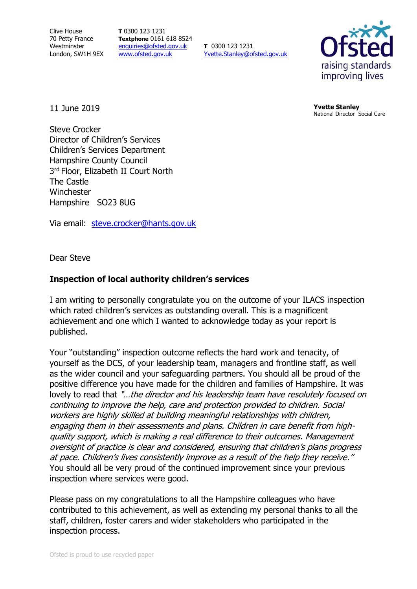Clive House 70 Petty France Westminster London, SW1H 9EX **T** 0300 123 1231 **Textphone** 0161 618 8524 [enquiries@ofsted.gov.uk](mailto:enquiries@ofsted.gov.uk) [www.ofsted.gov.uk](http://www.ofsted.gov.uk/)

**T** 0300 123 1231 [Yvette.Stanley@ofsted.gov.uk](mailto:Yvette.Stanley@ofsted.gov.uk)



11 June 2019

**Yvette Stanley** National Director Social Care

Steve Crocker Director of Children's Services Children's Services Department Hampshire County Council 3 rd Floor, Elizabeth II Court North The Castle **Winchester** Hampshire SO23 8UG

Via email: [steve.crocker@hants.gov.uk](mailto:steve.crocker@hants.gov.uk)

Dear Steve

## **Inspection of local authority children's services**

I am writing to personally congratulate you on the outcome of your ILACS inspection which rated children's services as outstanding overall. This is a magnificent achievement and one which I wanted to acknowledge today as your report is published.

Your "outstanding" inspection outcome reflects the hard work and tenacity, of yourself as the DCS, of your leadership team, managers and frontline staff, as well as the wider council and your safeguarding partners. You should all be proud of the positive difference you have made for the children and families of Hampshire. It was lovely to read that "...the director and his leadership team have resolutely focused on continuing to improve the help, care and protection provided to children. Social workers are highly skilled at building meaningful relationships with children, engaging them in their assessments and plans. Children in care benefit from highquality support, which is making a real difference to their outcomes. Management oversight of practice is clear and considered, ensuring that children's plans progress at pace. Children's lives consistently improve as a result of the help they receive." You should all be very proud of the continued improvement since your previous inspection where services were good.

Please pass on my congratulations to all the Hampshire colleagues who have contributed to this achievement, as well as extending my personal thanks to all the staff, children, foster carers and wider stakeholders who participated in the inspection process.